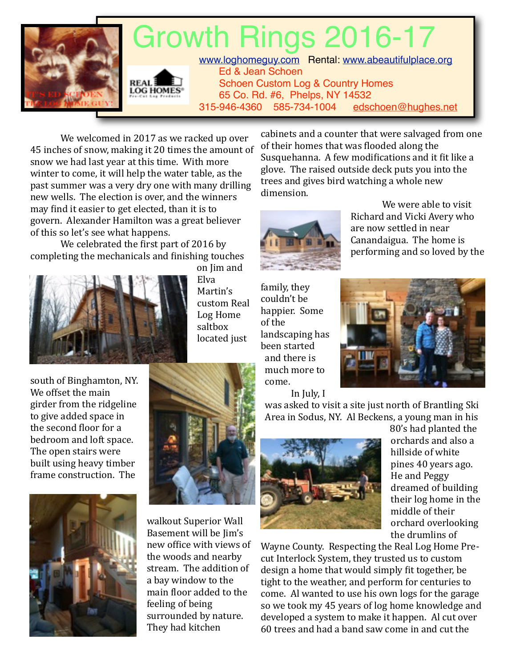

We welcomed in 2017 as we racked up over 45 inches of snow, making it 20 times the amount of snow we had last year at this time. With more winter to come, it will help the water table, as the past summer was a very dry one with many drilling new wells. The election is over, and the winners may find it easier to get elected, than it is to govern. Alexander Hamilton was a great believer of this so let's see what happens.

We celebrated the first part of 2016 by completing the mechanicals and finishing touches



on Jim and Elva Martin's custom Real Log Home saltbox located just

cabinets and a counter that were salvaged from one of their homes that was flooded along the Susquehanna. A few modifications and it fit like a glove. The raised outside deck puts you into the trees and gives bird watching a whole new dimension.



We were able to visit Richard and Vicki Avery who are now settled in near Canandaigua. The home is performing and so loved by the

family, they couldn't be happier. Some of the landscaping has been started and there is much more to come. In July, I



south of Binghamton, NY. We offset the main girder from the ridgeline to give added space in the second floor for a bedroom and loft space. The open stairs were built using heavy timber frame construction. The





walkout Superior Wall Basement will be Jim's new office with views of the woods and nearby stream. The addition of a bay window to the main floor added to the feeling of being surrounded by nature. They had kitchen



80's had planted the orchards and also a hillside of white pines 40 years ago. He and Peggy dreamed of building their log home in the middle of their orchard overlooking the drumlins of

Wayne County. Respecting the Real Log Home Precut Interlock System, they trusted us to custom design a home that would simply fit together, be tight to the weather, and perform for centuries to come. Al wanted to use his own logs for the garage so we took my 45 years of log home knowledge and developed a system to make it happen. Al cut over 60 trees and had a band saw come in and cut the

was asked to visit a site just north of Brantling Ski

Area in Sodus, NY. Al Beckens, a young man in his